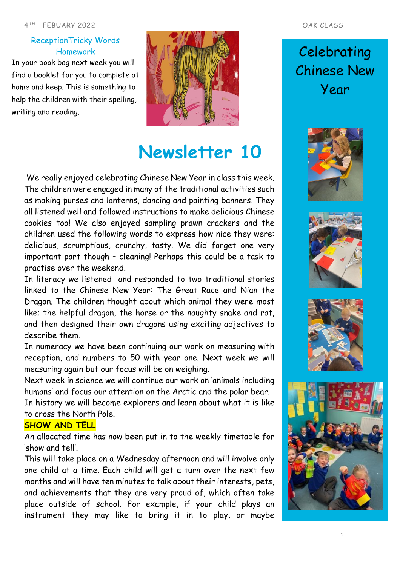## ReceptionTricky Words Homework

In your book bag next week you will find a booklet for you to complete at home and keep. This is something to help the children with their spelling, writing and reading.



# **Newsletter 10**

We really enjoyed celebrating Chinese New Year in class this week. The children were engaged in many of the traditional activities such as making purses and lanterns, dancing and painting banners. They all listened well and followed instructions to make delicious Chinese cookies too! We also enjoyed sampling prawn crackers and the children used the following words to express how nice they were: delicious, scrumptious, crunchy, tasty. We did forget one very important part though – cleaning! Perhaps this could be a task to practise over the weekend.

In literacy we listened and responded to two traditional stories linked to the Chinese New Year: The Great Race and Nian the Dragon. The children thought about which animal they were most like; the helpful dragon, the horse or the naughty snake and rat, and then designed their own dragons using exciting adjectives to describe them.

In numeracy we have been continuing our work on measuring with reception, and numbers to 50 with year one. Next week we will measuring again but our focus will be on weighing.

Next week in science we will continue our work on 'animals including humans' and focus our attention on the Arctic and the polar bear.

In history we will become explorers and learn about what it is like to cross the North Pole.

### **SHOW AND TELL**

An allocated time has now been put in to the weekly timetable for 'show and tell'.

This will take place on a Wednesday afternoon and will involve only one child at a time. Each child will get a turn over the next few months and will have ten minutes to talk about their interests, pets, and achievements that they are very proud of, which often take place outside of school. For example, if your child plays an instrument they may like to bring it in to play, or maybe

# **Celebrating** Chinese New Year